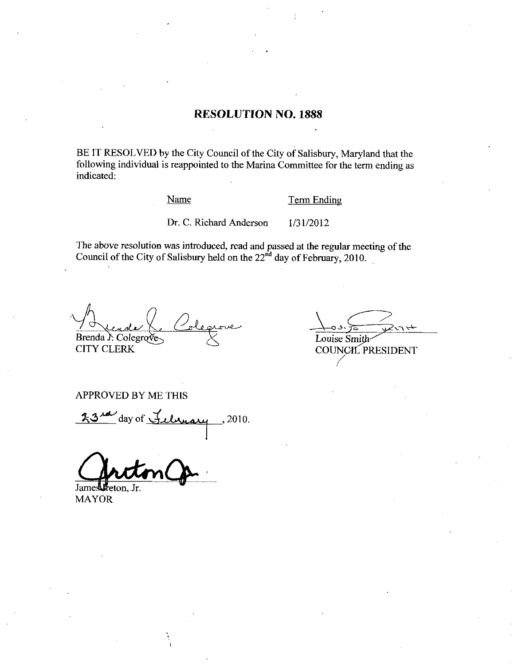## RESOLUTION NO. 1888

BE IT RESOLVED by the City Council of the City of Salisbury, Maryland that the following individual is reappointed to the Marina Committee for the term ending as indicated Name Term Endi<br>Dr. C. Richard Anderson 1/31/2012

Name Term Ending

The above resolution was introduced, read and passed at the regular meeting of the Council of the City of Salisbury held on the  $22<sup>nd</sup>$  day of February, 2010.

a/ سصا Brenda  $\lambda$  Colegr

CITY CLERK

Louise Smith<br>Louise Smith<br>COUNCH P

COUNCH PRESIDENT

APPROVED BY ME THIS

 $\frac{23}{40}$  day of February . 2010.

James Freton, Jr.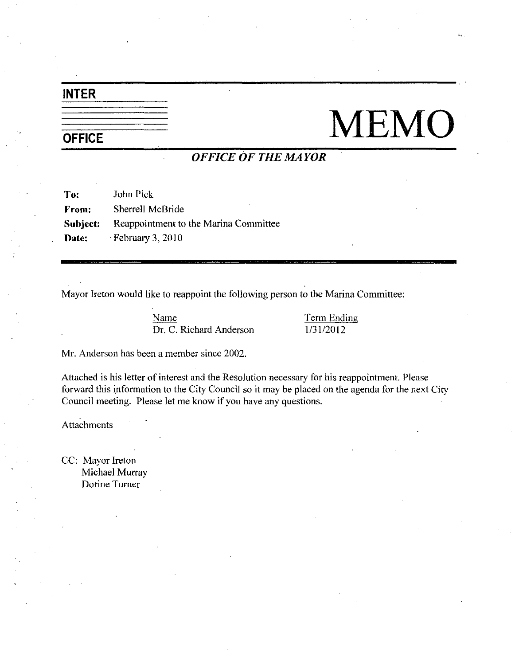# INTER

# $\begin{tabular}{c|c} \hline \hline \texttt{INTER} & \texttt{MEM} \\ \hline \texttt{OFFICE} & \texttt{OFFICE OF THE MAYOR} \\ \hline \end{tabular}$

# OFFICE OF THE MAYOR

To: John Pick From: Sherrell McBride Subject: Reappointment to the Marina Committee Date: February 3, 2010 **OFFICE OF THE MAYOR**<br>
AcBride<br>
tment to the Marina Committee<br>
3, 2010<br>
ke to reappoint the following person to the Marina Comm<br>
Name<br>
Dr. C. Richard Anderson<br>
a member since 2002.

Mayor Ireton would like to reappoint the following person to the Marina Committee:

Execution that is contained the following person to the Marin Marin Channel Common Term Endi Dr. C. Richard Anderson 1/31/2012

Mr. Anderson has been a member since 2002.

Attached is his letter of interest and the Resolution necessary for his reappointment. Please forward this information to the City Council so it maybe placed on the agenda for the next City Council meeting. Please let me know if you have any questions.

Attachments

CC: Mayor Ireton Michael Murray Dorine Turner